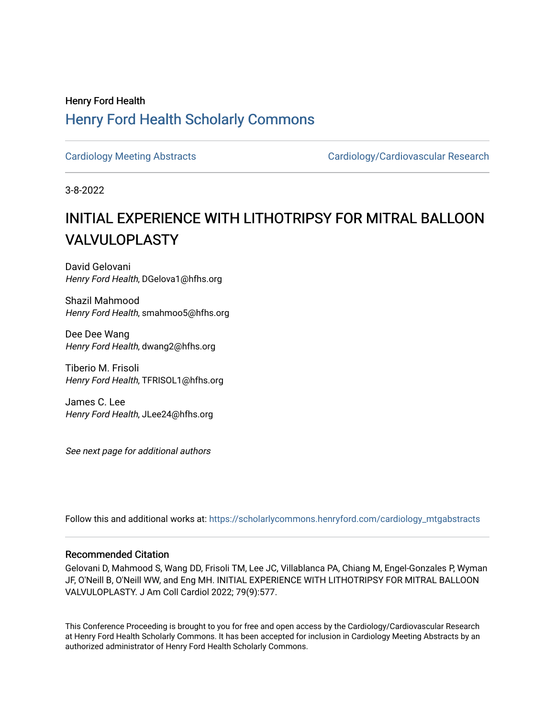## Henry Ford Health [Henry Ford Health Scholarly Commons](https://scholarlycommons.henryford.com/)

[Cardiology Meeting Abstracts](https://scholarlycommons.henryford.com/cardiology_mtgabstracts) Cardiology/Cardiovascular Research

3-8-2022

# INITIAL EXPERIENCE WITH LITHOTRIPSY FOR MITRAL BALLOON VALVULOPLASTY

David Gelovani Henry Ford Health, DGelova1@hfhs.org

Shazil Mahmood Henry Ford Health, smahmoo5@hfhs.org

Dee Dee Wang Henry Ford Health, dwang2@hfhs.org

Tiberio M. Frisoli Henry Ford Health, TFRISOL1@hfhs.org

James C. Lee Henry Ford Health, JLee24@hfhs.org

See next page for additional authors

Follow this and additional works at: [https://scholarlycommons.henryford.com/cardiology\\_mtgabstracts](https://scholarlycommons.henryford.com/cardiology_mtgabstracts?utm_source=scholarlycommons.henryford.com%2Fcardiology_mtgabstracts%2F339&utm_medium=PDF&utm_campaign=PDFCoverPages) 

#### Recommended Citation

Gelovani D, Mahmood S, Wang DD, Frisoli TM, Lee JC, Villablanca PA, Chiang M, Engel-Gonzales P, Wyman JF, O'Neill B, O'Neill WW, and Eng MH. INITIAL EXPERIENCE WITH LITHOTRIPSY FOR MITRAL BALLOON VALVULOPLASTY. J Am Coll Cardiol 2022; 79(9):577.

This Conference Proceeding is brought to you for free and open access by the Cardiology/Cardiovascular Research at Henry Ford Health Scholarly Commons. It has been accepted for inclusion in Cardiology Meeting Abstracts by an authorized administrator of Henry Ford Health Scholarly Commons.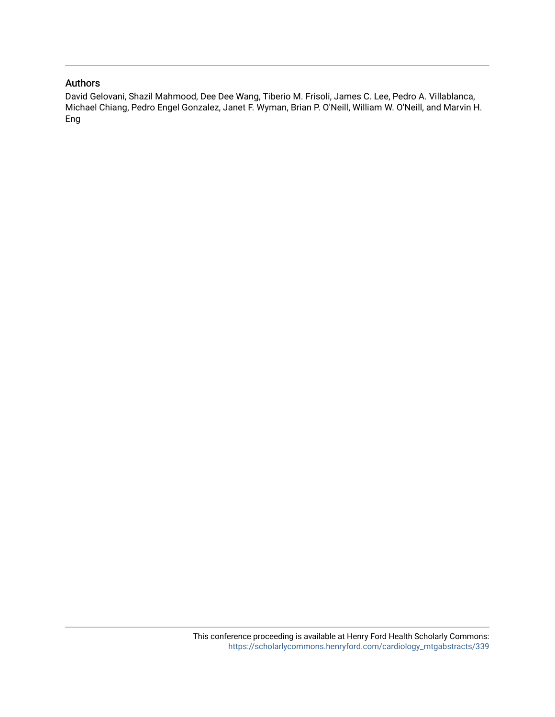#### Authors

David Gelovani, Shazil Mahmood, Dee Dee Wang, Tiberio M. Frisoli, James C. Lee, Pedro A. Villablanca, Michael Chiang, Pedro Engel Gonzalez, Janet F. Wyman, Brian P. O'Neill, William W. O'Neill, and Marvin H. Eng